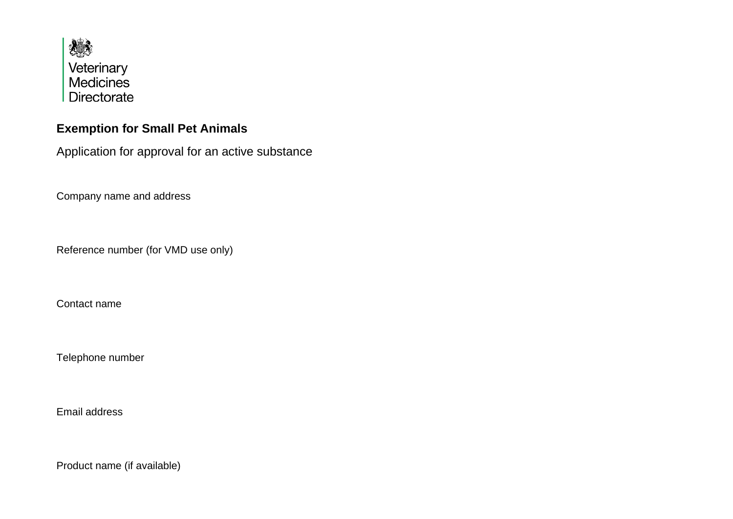

## **Exemption for Small Pet Animals**

Application for approval for an active substance

Company name and address

Reference number (for VMD use only)

Contact name

Telephone number

Email address

Product name (if available)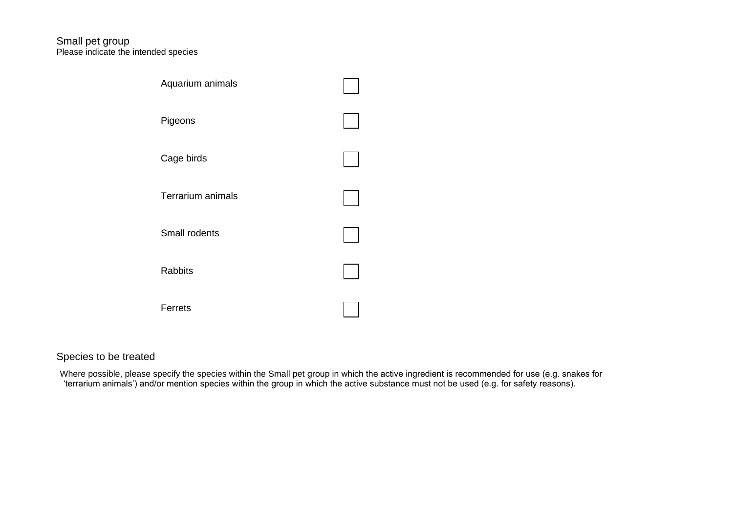## Please indicate the intended species Small pet group



## Species to be treated

 Where possible, please specify the species within the Small pet group in which the active ingredient is recommended for use (e.g. snakes for 'terrarium animals') and/or mention species within the group in which the active substance must not be used (e.g. for safety reasons).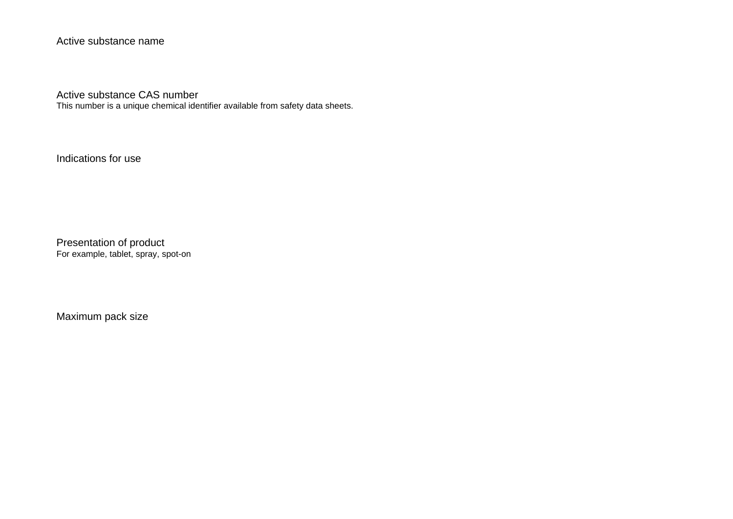Active substance name

Active substance CAS number

This number is a unique chemical identifier available from safety data sheets.

Indications for use

 Presentation of product For example, tablet, spray, spot-on

Maximum pack size